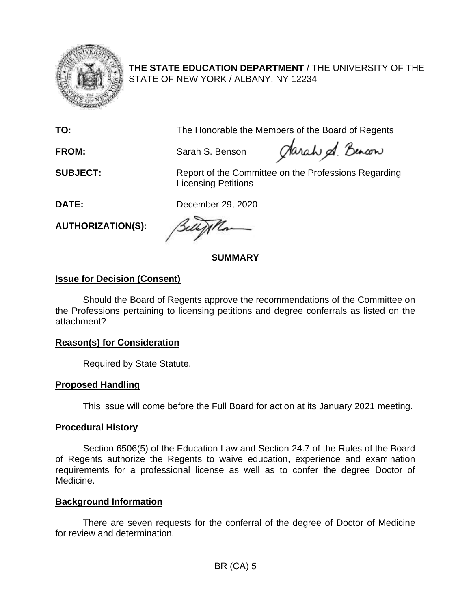

**THE STATE EDUCATION DEPARTMENT** / THE UNIVERSITY OF THE STATE OF NEW YORK / ALBANY, NY 12234

**TO:** The Honorable the Members of the Board of Regents

**FROM:** Sarah S. Benson

Jarah & Benson

**SUBJECT:** Report of the Committee on the Professions Regarding Licensing Petitions

**DATE:** December 29, 2020

**AUTHORIZATION(S):** 

**SUMMARY** 

# **Issue for Decision (Consent)**

Should the Board of Regents approve the recommendations of the Committee on the Professions pertaining to licensing petitions and degree conferrals as listed on the attachment?

### **Reason(s) for Consideration**

Required by State Statute.

# **Proposed Handling**

This issue will come before the Full Board for action at its January 2021 meeting.

### **Procedural History**

 Section 6506(5) of the Education Law and Section 24.7 of the Rules of the Board requirements for a professional license as well as to confer the degree Doctor of of Regents authorize the Regents to waive education, experience and examination Medicine.

### **Background Information**

There are seven requests for the conferral of the degree of Doctor of Medicine for review and determination.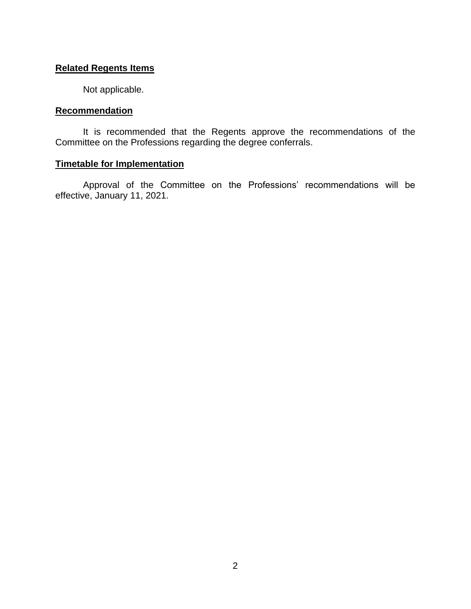#### **Related Regents Items**

Not applicable.

#### **Recommendation**

 It is recommended that the Regents approve the recommendations of the Committee on the Professions regarding the degree conferrals.

## **Timetable for Implementation**

Approval of the Committee on the Professions' recommendations will be effective, January 11, 2021.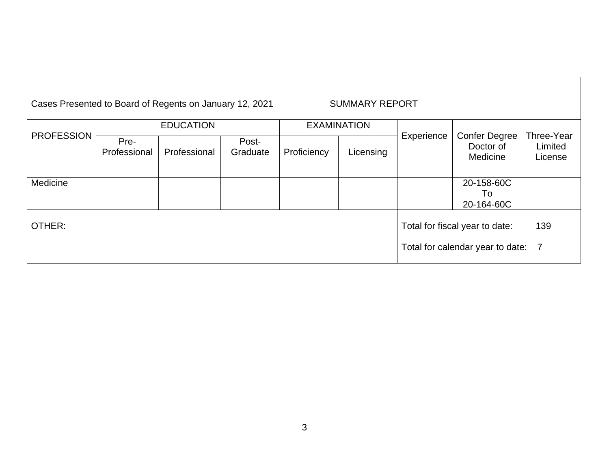| Cases Presented to Board of Regents on January 12, 2021<br><b>SUMMARY REPORT</b> |                      |              |                   |                    |           |                                       |                                               |                                  |
|----------------------------------------------------------------------------------|----------------------|--------------|-------------------|--------------------|-----------|---------------------------------------|-----------------------------------------------|----------------------------------|
|                                                                                  | <b>EDUCATION</b>     |              |                   | <b>EXAMINATION</b> |           |                                       |                                               |                                  |
| <b>PROFESSION</b>                                                                | Pre-<br>Professional | Professional | Post-<br>Graduate | Proficiency        | Licensing | Experience                            | <b>Confer Degree</b><br>Doctor of<br>Medicine | Three-Year<br>Limited<br>License |
| Medicine                                                                         |                      |              |                   |                    |           |                                       | 20-158-60C                                    |                                  |
|                                                                                  |                      |              |                   |                    |           |                                       | To                                            |                                  |
|                                                                                  |                      |              |                   |                    |           |                                       | 20-164-60C                                    |                                  |
| OTHER:                                                                           |                      |              |                   |                    |           | 139<br>Total for fiscal year to date: |                                               |                                  |
|                                                                                  |                      |              |                   |                    |           |                                       | Total for calendar year to date:              | $\overline{7}$                   |

 $\lceil$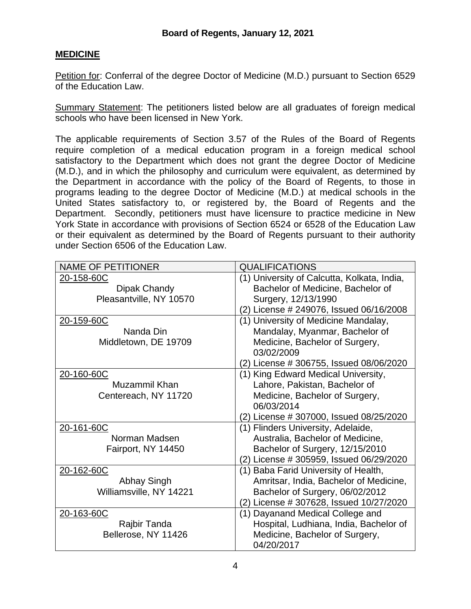## **MEDICINE**

Petition for: Conferral of the degree Doctor of Medicine (M.D.) pursuant to Section 6529 of the Education Law.

Summary Statement: The petitioners listed below are all graduates of foreign medical schools who have been licensed in New York.

 (M.D.), and in which the philosophy and curriculum were equivalent, as determined by programs leading to the degree Doctor of Medicine (M.D.) at medical schools in the The applicable requirements of Section 3.57 of the Rules of the Board of Regents require completion of a medical education program in a foreign medical school satisfactory to the Department which does not grant the degree Doctor of Medicine the Department in accordance with the policy of the Board of Regents, to those in United States satisfactory to, or registered by, the Board of Regents and the Department. Secondly, petitioners must have licensure to practice medicine in New York State in accordance with provisions of Section 6524 or 6528 of the Education Law or their equivalent as determined by the Board of Regents pursuant to their authority under Section 6506 of the Education Law.

| <b>NAME OF PETITIONER</b> | <b>QUALIFICATIONS</b>                       |  |  |  |
|---------------------------|---------------------------------------------|--|--|--|
| 20-158-60C                | (1) University of Calcutta, Kolkata, India, |  |  |  |
| Dipak Chandy              | Bachelor of Medicine, Bachelor of           |  |  |  |
| Pleasantville, NY 10570   | Surgery, 12/13/1990                         |  |  |  |
|                           | (2) License # 249076, Issued 06/16/2008     |  |  |  |
| 20-159-60C                | (1) University of Medicine Mandalay,        |  |  |  |
| Nanda Din                 | Mandalay, Myanmar, Bachelor of              |  |  |  |
| Middletown, DE 19709      | Medicine, Bachelor of Surgery,              |  |  |  |
|                           | 03/02/2009                                  |  |  |  |
|                           | (2) License # 306755, Issued 08/06/2020     |  |  |  |
| 20-160-60C                | (1) King Edward Medical University,         |  |  |  |
| Muzammil Khan             | Lahore, Pakistan, Bachelor of               |  |  |  |
| Centereach, NY 11720      | Medicine, Bachelor of Surgery,              |  |  |  |
|                           | 06/03/2014                                  |  |  |  |
|                           | (2) License # 307000, Issued 08/25/2020     |  |  |  |
| 20-161-60C                | (1) Flinders University, Adelaide,          |  |  |  |
| Norman Madsen             | Australia, Bachelor of Medicine,            |  |  |  |
| Fairport, NY 14450        | Bachelor of Surgery, 12/15/2010             |  |  |  |
|                           | (2) License # 305959, Issued 06/29/2020     |  |  |  |
| 20-162-60C                | (1) Baba Farid University of Health,        |  |  |  |
| Abhay Singh               | Amritsar, India, Bachelor of Medicine,      |  |  |  |
| Williamsville, NY 14221   | Bachelor of Surgery, 06/02/2012             |  |  |  |
|                           | (2) License # 307628, Issued 10/27/2020     |  |  |  |
| 20-163-60C                | (1) Dayanand Medical College and            |  |  |  |
| Rajbir Tanda              | Hospital, Ludhiana, India, Bachelor of      |  |  |  |
| Bellerose, NY 11426       | Medicine, Bachelor of Surgery,              |  |  |  |
|                           | 04/20/2017                                  |  |  |  |